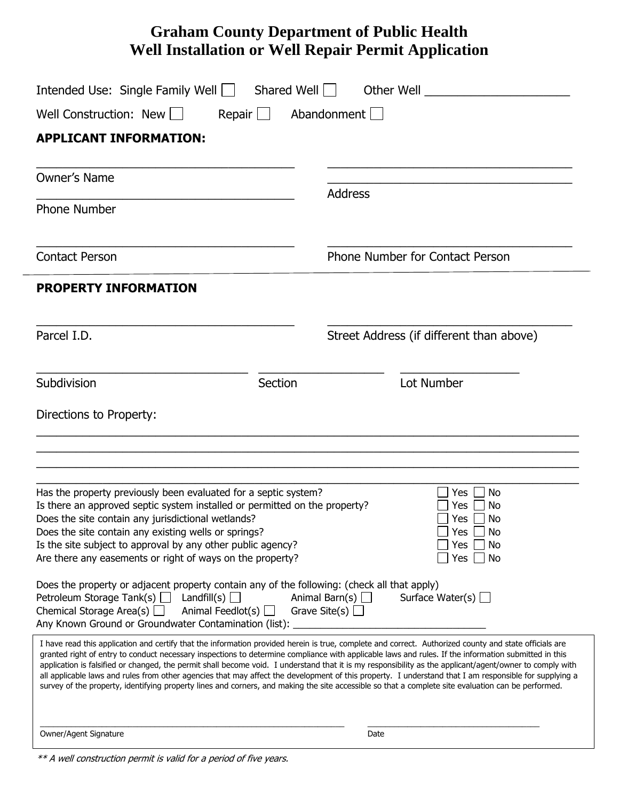## **Graham County Department of Public Health Well Installation or Well Repair Permit Application**

| Intended Use: Single Family Well   Shared Well  <br>Abandonment<br>Well Construction: New    <br>Repair $\Box$<br><b>APPLICANT INFORMATION:</b>                                                                                                                                                                                                                                                                                                                                                                                                                                                                                                                                                                                                                                             |                                                                                        |                     |                |
|---------------------------------------------------------------------------------------------------------------------------------------------------------------------------------------------------------------------------------------------------------------------------------------------------------------------------------------------------------------------------------------------------------------------------------------------------------------------------------------------------------------------------------------------------------------------------------------------------------------------------------------------------------------------------------------------------------------------------------------------------------------------------------------------|----------------------------------------------------------------------------------------|---------------------|----------------|
|                                                                                                                                                                                                                                                                                                                                                                                                                                                                                                                                                                                                                                                                                                                                                                                             |                                                                                        | <b>Owner's Name</b> |                |
|                                                                                                                                                                                                                                                                                                                                                                                                                                                                                                                                                                                                                                                                                                                                                                                             |                                                                                        | <b>Phone Number</b> | <b>Address</b> |
| <b>Contact Person</b>                                                                                                                                                                                                                                                                                                                                                                                                                                                                                                                                                                                                                                                                                                                                                                       | Phone Number for Contact Person                                                        |                     |                |
| <b>PROPERTY INFORMATION</b>                                                                                                                                                                                                                                                                                                                                                                                                                                                                                                                                                                                                                                                                                                                                                                 |                                                                                        |                     |                |
| Parcel I.D.                                                                                                                                                                                                                                                                                                                                                                                                                                                                                                                                                                                                                                                                                                                                                                                 | Street Address (if different than above)                                               |                     |                |
| Subdivision<br>Section                                                                                                                                                                                                                                                                                                                                                                                                                                                                                                                                                                                                                                                                                                                                                                      | Lot Number                                                                             |                     |                |
| Directions to Property:                                                                                                                                                                                                                                                                                                                                                                                                                                                                                                                                                                                                                                                                                                                                                                     |                                                                                        |                     |                |
| Has the property previously been evaluated for a septic system?<br>Is there an approved septic system installed or permitted on the property?<br>Does the site contain any jurisdictional wetlands?<br>Does the site contain any existing wells or springs?<br>Is the site subject to approval by any other public agency?<br>Are there any easements or right of ways on the property?                                                                                                                                                                                                                                                                                                                                                                                                     | Yes<br>No<br>Yes I<br>No<br>Yes $\Box$<br>. No<br>] Yes □ No<br>Yes<br>No<br>Yes<br>No |                     |                |
| Does the property or adjacent property contain any of the following: (check all that apply)<br>Petroleum Storage Tank(s) $\Box$ Landfill(s) $\Box$<br>Animal Feedlot(s)  <br>Chemical Storage Area(s) $\Box$<br>Any Known Ground or Groundwater Contamination (list):                                                                                                                                                                                                                                                                                                                                                                                                                                                                                                                       | Animal Barn(s) $\Box$<br>Surface Water(s) $\Box$<br>Grave Site(s) $\Box$               |                     |                |
| I have read this application and certify that the information provided herein is true, complete and correct. Authorized county and state officials are<br>granted right of entry to conduct necessary inspections to determine compliance with applicable laws and rules. If the information submitted in this<br>application is falsified or changed, the permit shall become void. I understand that it is my responsibility as the applicant/agent/owner to comply with<br>all applicable laws and rules from other agencies that may affect the development of this property. I understand that I am responsible for supplying a<br>survey of the property, identifying property lines and corners, and making the site accessible so that a complete site evaluation can be performed. |                                                                                        |                     |                |
| Owner/Agent Signature                                                                                                                                                                                                                                                                                                                                                                                                                                                                                                                                                                                                                                                                                                                                                                       | Date                                                                                   |                     |                |

<sup>\*\*</sup> A well construction permit is valid for a period of five years.